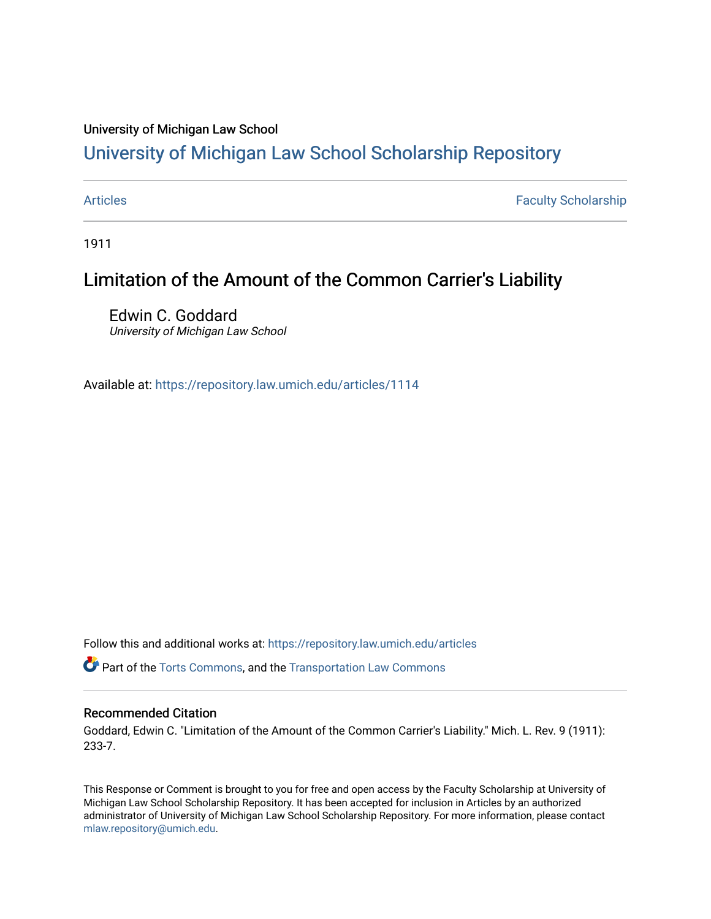### University of Michigan Law School

# [University of Michigan Law School Scholarship Repository](https://repository.law.umich.edu/)

[Articles](https://repository.law.umich.edu/articles) **Faculty Scholarship** Faculty Scholarship

1911

## Limitation of the Amount of the Common Carrier's Liability

Edwin C. Goddard University of Michigan Law School

Available at: <https://repository.law.umich.edu/articles/1114>

Follow this and additional works at: [https://repository.law.umich.edu/articles](https://repository.law.umich.edu/articles?utm_source=repository.law.umich.edu%2Farticles%2F1114&utm_medium=PDF&utm_campaign=PDFCoverPages) 

**P** Part of the [Torts Commons](http://network.bepress.com/hgg/discipline/913?utm_source=repository.law.umich.edu%2Farticles%2F1114&utm_medium=PDF&utm_campaign=PDFCoverPages), and the Transportation Law Commons

### Recommended Citation

Goddard, Edwin C. "Limitation of the Amount of the Common Carrier's Liability." Mich. L. Rev. 9 (1911): 233-7.

This Response or Comment is brought to you for free and open access by the Faculty Scholarship at University of Michigan Law School Scholarship Repository. It has been accepted for inclusion in Articles by an authorized administrator of University of Michigan Law School Scholarship Repository. For more information, please contact [mlaw.repository@umich.edu.](mailto:mlaw.repository@umich.edu)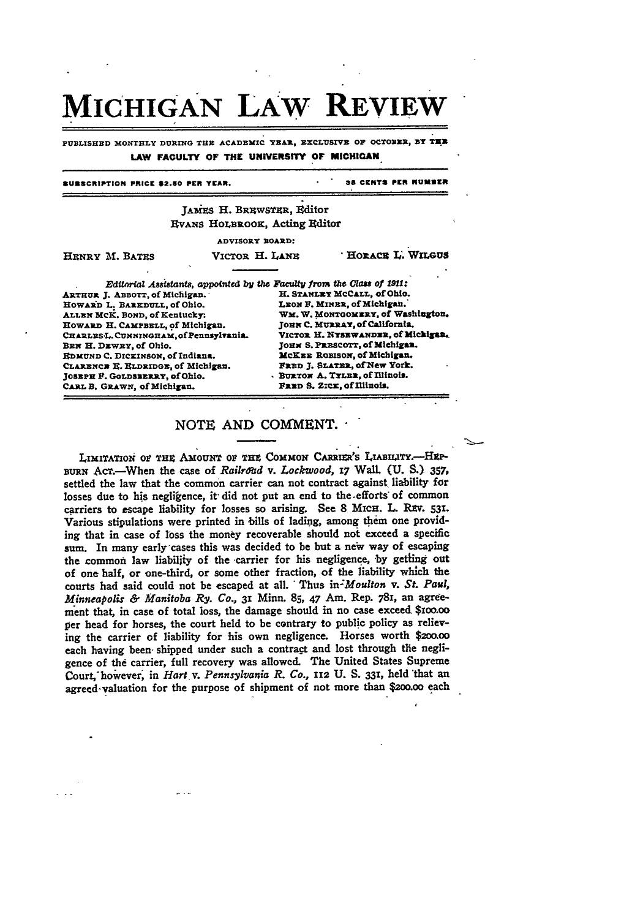# MICHIGAN LAW REV

PUBLISHED MONTHLY DURING THE ACADEMIC YEAR, EXCLUSIVE OF OCTOBER, BY THE LAW FACULTY OF THE UNIVERSITY OF MICHIGAN

### **SURSCRIPTION PRICE \$2.50 PER YEAR**

38 CENTS PER NUMBER

### JAMES H. BREWSTER, Editor **EVANS HOLBROOK, Acting Editor**

ADVISORY ROARD:

| <b>HENRY M. BATES</b> | VICTOR H. LANE | <b>HORACE L. WILGUS</b> |
|-----------------------|----------------|-------------------------|
|                       |                |                         |
|                       |                |                         |

ARTHUR J. ABBOTT, of Michigan. HOWARD L. BAREDULL, of Ohio. ALLEN MCK. BOND, of Kentucky: HOWARD H. CAMPBELL, of Michigan. CHARLESL. CUNNINGHAM. of Pennsylvania. BEN H. DEWEY, of Ohio. RDMUND C. DICKINSON, of Indiana. CLARENCE E. RLDRIDGE, of Michigan. JOSEPH F. GOLDSEERRY, of Ohio. CARL B. GRAWN, of Michigan.

Editorial Assistants, appointed by the Faculty from the Class of 1911: H. STANLEY MCCALL, of Ohio. LEON F. MINER. of Michigan. WM. W. MONTGOMERY, of Washington. JOHN C. MURRAY, of California. VICTOR H. NYSEWANDER, of Michigan. JOHN S. PRESCOTT, of Michigan. MCKEE ROBISON, of Michigan. FRED J. SLATER, of New York. BURTON A. TYLER, of Illinois. FRED S. ZICK, of Illinois.

### NOTE AND COMMENT.

LIMITATION OF THE AMOUNT OF THE COMMON CARRIER'S LIABILITY.-HEP-BURN ACT.-When the case of Railroud v. Lockwood, 17 Wall. (U. S.) 357, settled the law that the common carrier can not contract against liability for losses due to his negligence, it did not put an end to the efforts of common carriers to escape liability for losses so arising. See 8 MICH. L. REV. 531. Various stipulations were printed in bills of lading, among them one providing that in case of loss the money recoverable should not exceed a specific sum. In many early cases this was decided to be but a new way of escaping the common law liability of the carrier for his negligence, by getting out of one half, or one-third, or some other fraction, of the liability which the courts had said could not be escaped at all. Thus in-Moulton v. St. Paul, Minneapolis & Manitoba Ry. Co., 31 Minn. 85, 47 Am. Rep. 781, an agreement that, in case of total loss, the damage should in no case exceed \$100.00 per head for horses, the court held to be contrary to public policy as relieving the carrier of liability for his own negligence. Horses worth \$200.00 each having been shipped under such a contract and lost through the negligence of the carrier, full recovery was allowed. The United States Supreme Court, however, in Hart v. Pennsylvania R. Co., 112 U. S. 331, held that an agreed valuation for the purpose of shipment of not more than \$200.00 each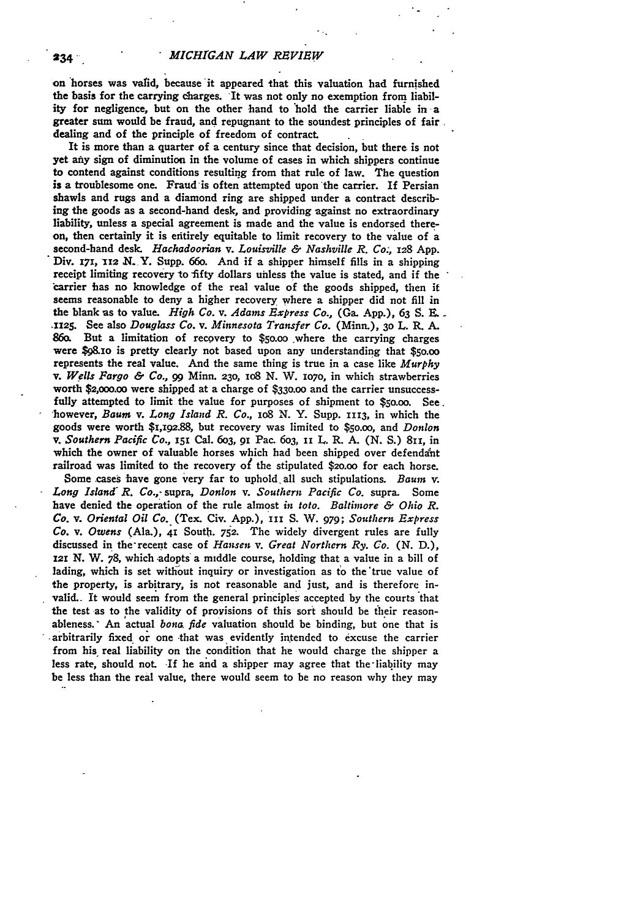on horses was valid, because it appeared that this valuation had furnished the basis for the carrying charges. It was not only no exemption from liability for negligence, but on the other hand to hold the carrier liable in a greater sum would be fraud, and repugnant to the soundest principles of fair dealing and of the principle of freedom of contract.

It is more than a quarter of a century since that decision, but there is not yet aty sign of diminution in the volume of cases in which shippers continue to contend against conditions resulting from that rule of law. The question is a troublesome one. Fraud is often attempted upon'the carrier. If Persian shawls and rugs and a diamond ring are shipped under a contract describing the goods as a second-hand desk, and providing against no extraordinary liability, unless a special agreement is made and the value is endorsed thereon, then certainly it is eritirely equitable to limit recovery to the value of a second-hand **desk.** *Hachadoorian v. Louisville & Nashville R. Co.,* **x28 App.** Div. 171, 112 N. Y. Supp. 660. And if a shipper himself fills in a shipping receipt limiting recovery to fifty dollars unless the value is stated, and if the carrier has no knowledge of the real value of the goods shipped, then it seems reasonable to deny a higher recovery where a shipper did not fill in the blank as to value. *High Co. v. Adams Express Co.,* (Ga. **App.),** 63 **S.** *..* **mII25.** See also *Douglass Co. v. Minnesota Transfer Co.* (Minn.), **30** L. R. **A.** 86o. But a limitation of recovery to \$5o.oo where the carrying charges were \$98.xo is pretty clearly not based upon any understanding that **\$50.oo** represents the real value. And the same thing is true in a case like *Murphy v. Wells Fargo & Co., 99* Minn. **23o, io8** N. W. *o7o,* in which strawberries worth \$2,ooo.oo were shipped at a charge **of \$330.oo** and the carrier unsuccessfully attempted to limit the value for purposes of shipment to \$5o.oo. See. however, *Baum, v. Long Island R. Co.,* io8 N. Y. Supp. **1113,** in which the goods were worth \$1,192.88, but recovery was limited to **\$50.00,** and *Donlon v. Southern Pacific Co.,* **151** Cal. 6o3, **91** Pac. 6o3, **ii** L. R. A. **(N. S.)** 811, in which the owner of valuable horses which had been shipped over defendant railroad was limited to the recovery of the stipulated **\$20.00** for each horse.

Some cases have gone very far to uphold all such stipulations. *Baum v. Long Island R. Co.,-* supra, *Donlon v. Southern Pacific Co.* supra. Some have denied the operation of the rule almost *in toto. Baltimore & Ohio R. Co. v. Oriental Oil Co.* (Tex. Civ. **App.), ii** S. **W. 979;** *Southern Express Co. v. Owens* (Ala.), 41 South. **752.** The widely divergent rules are fully discussed in the-recent case of *Hansen v. Great Northern Ry. Go.* **(N. D.),** 121 N. W. 78, which adopts a middle course, holding that a value in a bill of lading, which is set without inquiry or investigation as to the'true value of the property, is arbitrary, is not reasonable and just, and is therefore invalid.- It would seem from the general principles accepted **by** the courts that the test as to the validity of provisions of this sort should be their reasonableness.' An actual *bona fide* valuation should be binding, but one that is -arbitrarily fixed, **or** one that was evidently intended to excuse the carrier from his real liability on the condition that he would charge the shipper a less rate, should not. **-If** he and a shipper may agree that the-liability may be less than the real value, there would seem to **be** no reason why they may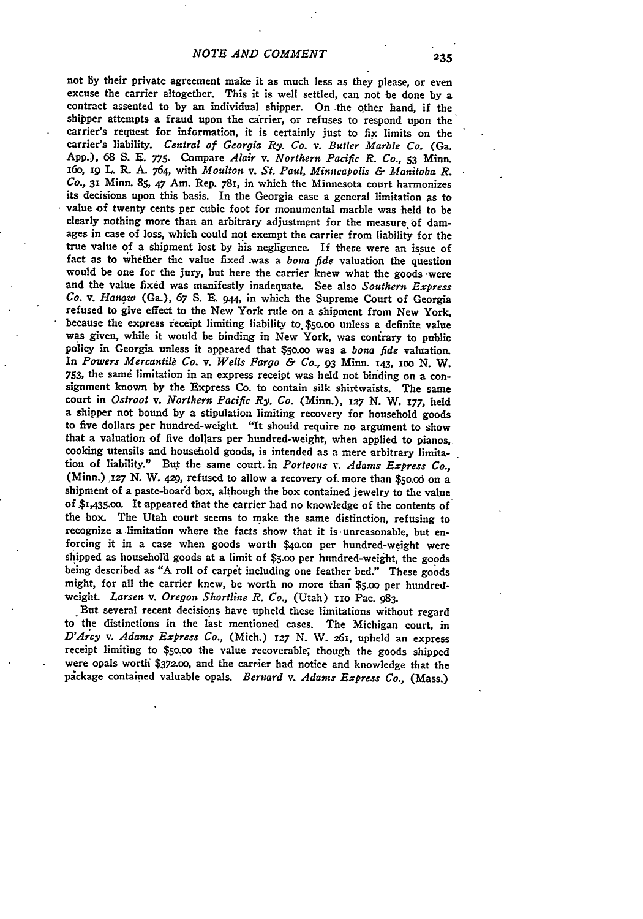not by their private agreement make it as much less as they please, or even<br>excuse the carrier altogether. This it is well settled, can not be done by a<br>contract assented to by an individual shipper. On the other hand, if shipper attempts a fraud upon the carrier, or refuses to respond upon the carrier's request for information, it is certainly just to fix limits on the carrier's liability. *Central of Georgia Ry. Co. v. Butler Marble Co.* (Ga. App.), **68 S. E. 775.** Compare *Alair v. Northern Pacific R. Co.,* **53** Minn. i6o, **i9** L. R. **A.** 764, with *Moulton v. St. Paul, Minneapolis & Manitoba R. Co.,* **31** Minn. **85, 47** Am. Rep. **781,** in which the Minnesota court harmonizes its decisions upon this basis. In the Georgia case a general limitation as to value of twenty cents per cubic foot for monumental marble was held to be clearly nothing more than an arbitrary adjustment for the measure of damages in case of loss, which could **not** exempt the carrier from liability for the true value **of** a shipment lost **by** his negligence. If there were an issue of fact as to whether the value fixed .was a *bona fide* valuation the question would be one for the jury, but here the carrier knew what the goods -were and the value fixed was manifestly inadequate. See also *Southern Express Co. v. Hanaw* (Ga.), **67** *S.* **R.** 944, in which the Supreme Court of Georgia refused to give effect to the New York rule on a shipment from New York, because the express receipt limiting liability **to.\$5o.oo** unless a definite value was given, while it would be binding in New York, was conirary to public policy in Georgia unless it appeared that \$5o.oo was a *bona fide* valuation. In *Powers Mercantile Co. v. Wells Fargo & Co., 93 Minn. 143, 100 N. W.* 753, the same limitation in an express receipt was held not binding on a consignment known by the Express Co. to contain silk shirtwaists. The same court in Ostroot v. Northern Pacific Ry. Co. (Minn.), 127 N. W. 177, held a shipper not bound by a stipulation limiting recovery for household goods to five dollars per hundred-weight. "It should require no argument to show that a valuation of five dollars per hundred-weight, when applied to pianos, cooking utensils and household goods, is intended as a mere arbitrary limitation of liability." But the same court. in *Porteous v. Adams Express Co.,* (Minn.) *,27* **N.** W. **429,** refused to allow a recovery **of.** more than \$5o.o0 on a shipment of a paste-board box, although the box contained jewelry to the value of \$I,43s.oo. It appeared that the carrier had no knowledge of the contents of the box. The Utah court seems to make the same distinction, refusing to recognize a limitation where the facts show that it is unreasonable, but enforcing it in a case when goods worth \$40.00 per hundred-weight were shipped as household goods at a limit of \$5.00 per hundred-weight, the goods being described as **"A** roll of carpet including one feather **bed."** These goods might, for all the carrier knew, be worth no more **thari \$5.oo** per hundredweight. Larsen v. Oregon Shortline R. Co., (Utah) 110 Pac. 983.

But several recent decisions have upheld these limitations without regard **to the** distinctions in the last mentioned cases. The Michigan court, in *D'Arcy v. Adams Express Co.,* (Mich.) *127* **N. W.** 261, upheld an express receipt limiting to **\$50.oo** the value recoverable; though the goods shipped were opals worth *\$372.00,* and the carrier **had** notice and knowledge that the pickage contained valuable opals. *Bernard v. Adams Express Co.,* (Mass.)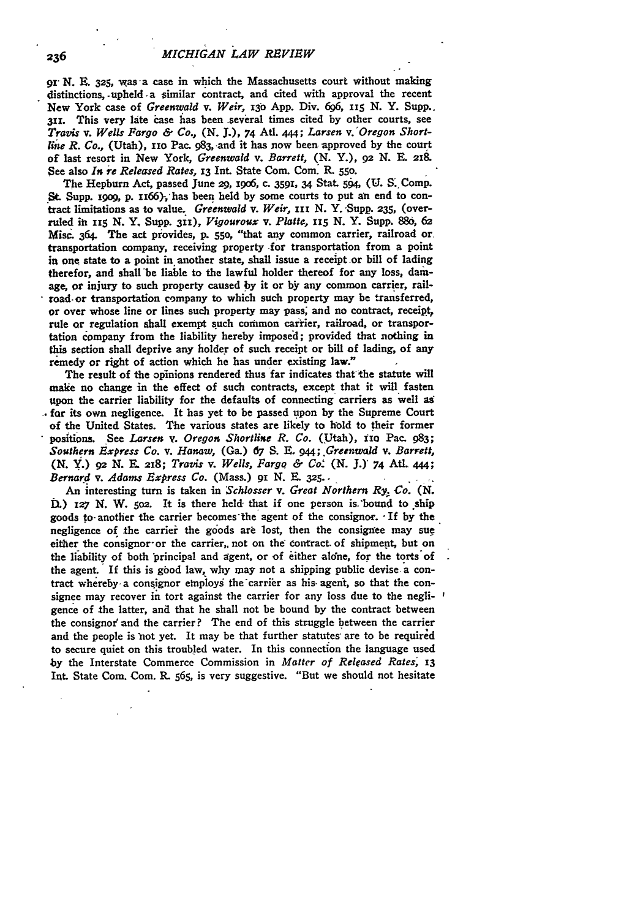gr **N. E. 325,** was **-a** case in which the Massachusetts court without making distinctions, -upheld. a similar contract, and cited with approval the recent New York case of *Greenwald v. Weir,* **i3o App.** Div. 696, **ii 5 N.** Y. Supp.. **311.** This very late case has been several times cited **by** other courts, see *Travis v. Wells Fargo & Co.,* **(N. J.),** 74 **Atl. 444;** *Larsen v. Oregon Shortline R. Co.,* (Utah), **nio** Pac. **983,** and it has now been approved **by** the court of last resort in New York, *Greenwald v. Barrett,* **(N.** Y.), **92 N. E. 218.** See also *In re Released Rates,* **13** Int. State Com. Com. **R. 55o.**

The Hepburn Act, passed June **29, i9o6,** c. **3591, 34** Stat. *5§,* **(U. S.** Comp. **St** Supp. igog, **p. is66)-,** has been held **by** some courts to put an end to contract limitations as to value. *Greenwald v. Weir*, III N. Y. Supp. 235, (overruled **iti 115 N.** Y. Supp. **311),** *Vigouroux v. Platte, x5* **N.** Y. Supp. **886, 62** Misc. 364. The act provides, P. **550,** "that any common carrier, railroad or transportation company, receiving property for transportation from a point in one state to a point in another state, shall issue a receipt or bill of lading therefor, and shall be liable to the lawful holder thereof for any loss, damage, or injury to such property caused **by** it or **by** any common carrier, railroad-or transportation company to which such property may be transferred, or over whose line or lines such property may pass, and no contract, receipt, rule or regulation shall exempt such common cairier, railroad, or transportation company from the liability hereby imposed; provided that nothing in this section shall deprive any holder of such receipt or bill of lading, of any remedy or right of action which he has under existing law."

The result of the opinions rendered thus far indicates that the statute will make no change in the effect of such contracts, except that it will fasten upon the carrier liability for the defaults of connecting carriers as well as **, for** its own negligence. It has yet to be passed upon **by** the Supreme Court of the United States. The various states are likely to hold to their former positions. See *Larsen v. Oregon Shortline R. Co.* (Utah), 110 Pac. 983; *Southern Express Co. v. Hanaw,* (Ga.) **67 S.** *.. 944; Greenwaid v. Barrett,* **(N. Y1.) 92 N.** X. **2x8;** *Travis v. Wells, Fargo & Co-* **(N. J.)** *74* AUt. 444; *Bernard v. Adams Express Co.* (Mass.) 91 N. E. 325...

An interesting turn is taken in *Schlosser v. Great Northern Ry. Co. (N.* DL) **127 N.** W. **5o2.** It is there held- that if one person is.\*bound to ship goods to- another the carrier becomes'the agent of the consignor. -If **by** the negligence of the carrier the goods are lost, then the consignee may sue either the consignor or the carrier, not on the contract of shipment, but on the liability of both 'principal and agent, or of either alone, for the torts of the agent. If this is gbod law, why may not a shipping public devise a contract whereby a consignor employs the carrier as his agent, so that the consignee may recover in tort against the carrier for any loss due to the negligence of the latter, and that he shall not be bound **by** the contract between the consignor' and the carrier? The end of this struggle between the carrier and the people is not yet. It may be that further statutes are to be required to secure quiet on this troubled water. In this connection the language used **by** the Interstate Commerce Commission in *Matter of Released Rates,* **13** Int. State Com. Com. L **565,** is very suggestive. "But we should not hesitate